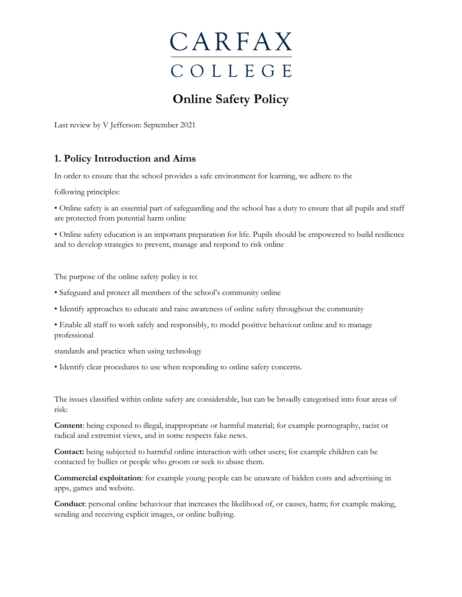

## **Online Safety Policy**

Last review by V Jefferson: September 2021

## **1. Policy Introduction and Aims**

In order to ensure that the school provides a safe environment for learning, we adhere to the

following principles:

• Online safety is an essential part of safeguarding and the school has a duty to ensure that all pupils and staff are protected from potential harm online

• Online safety education is an important preparation for life. Pupils should be empowered to build resilience and to develop strategies to prevent, manage and respond to risk online

The purpose of the online safety policy is to:

- Safeguard and protect all members of the school's community online
- Identify approaches to educate and raise awareness of online safety throughout the community
- Enable all staff to work safely and responsibly, to model positive behaviour online and to manage professional

standards and practice when using technology

• Identify clear procedures to use when responding to online safety concerns.

The issues classified within online safety are considerable, but can be broadly categorised into four areas of risk:

**Content**: being exposed to illegal, inappropriate or harmful material; for example pornography, racist or radical and extremist views, and in some respects fake news.

**Contact:** being subjected to harmful online interaction with other users; for example children can be contacted by bullies or people who groom or seek to abuse them.

**Commercial exploitation**: for example young people can be unaware of hidden costs and advertising in apps, games and website.

**Conduct**: personal online behaviour that increases the likelihood of, or causes, harm; for example making, sending and receiving explicit images, or online bullying.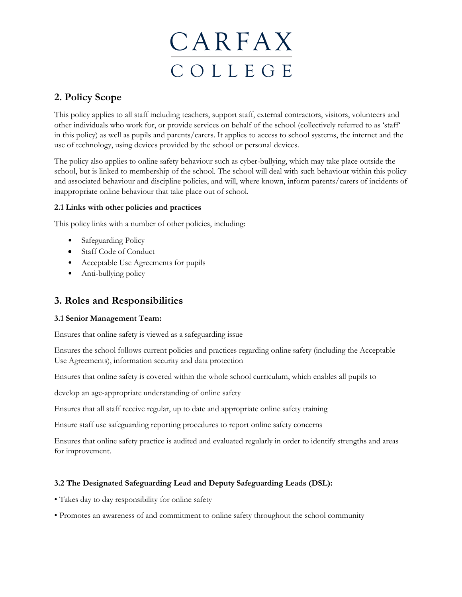

## **2. Policy Scope**

This policy applies to all staff including teachers, support staff, external contractors, visitors, volunteers and other individuals who work for, or provide services on behalf of the school (collectively referred to as 'staff' in this policy) as well as pupils and parents/carers. It applies to access to school systems, the internet and the use of technology, using devices provided by the school or personal devices.

The policy also applies to online safety behaviour such as cyber-bullying, which may take place outside the school, but is linked to membership of the school. The school will deal with such behaviour within this policy and associated behaviour and discipline policies, and will, where known, inform parents/carers of incidents of inappropriate online behaviour that take place out of school.

### **2.1 Links with other policies and practices**

This policy links with a number of other policies, including:

- Safeguarding Policy
- Staff Code of Conduct
- Acceptable Use Agreements for pupils
- Anti-bullying policy

## **3. Roles and Responsibilities**

#### **3.1 Senior Management Team:**

Ensures that online safety is viewed as a safeguarding issue

Ensures the school follows current policies and practices regarding online safety (including the Acceptable Use Agreements), information security and data protection

Ensures that online safety is covered within the whole school curriculum, which enables all pupils to

develop an age-appropriate understanding of online safety

Ensures that all staff receive regular, up to date and appropriate online safety training

Ensure staff use safeguarding reporting procedures to report online safety concerns

Ensures that online safety practice is audited and evaluated regularly in order to identify strengths and areas for improvement.

### **3.2 The Designated Safeguarding Lead and Deputy Safeguarding Leads (DSL):**

- Takes day to day responsibility for online safety
- Promotes an awareness of and commitment to online safety throughout the school community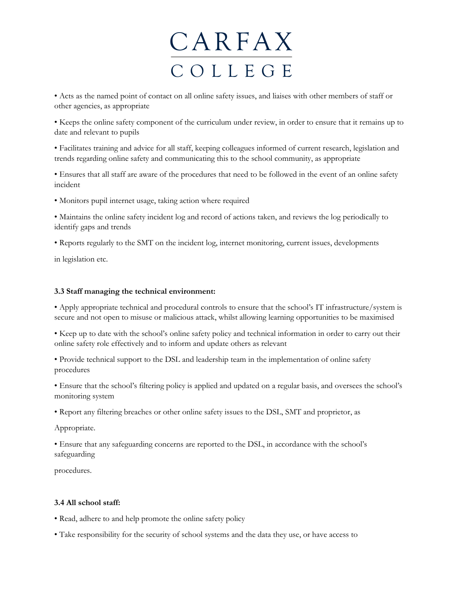• Acts as the named point of contact on all online safety issues, and liaises with other members of staff or other agencies, as appropriate

• Keeps the online safety component of the curriculum under review, in order to ensure that it remains up to date and relevant to pupils

• Facilitates training and advice for all staff, keeping colleagues informed of current research, legislation and trends regarding online safety and communicating this to the school community, as appropriate

• Ensures that all staff are aware of the procedures that need to be followed in the event of an online safety incident

• Monitors pupil internet usage, taking action where required

• Maintains the online safety incident log and record of actions taken, and reviews the log periodically to identify gaps and trends

• Reports regularly to the SMT on the incident log, internet monitoring, current issues, developments

in legislation etc.

#### **3.3 Staff managing the technical environment:**

• Apply appropriate technical and procedural controls to ensure that the school's IT infrastructure/system is secure and not open to misuse or malicious attack, whilst allowing learning opportunities to be maximised

• Keep up to date with the school's online safety policy and technical information in order to carry out their online safety role effectively and to inform and update others as relevant

• Provide technical support to the DSL and leadership team in the implementation of online safety procedures

• Ensure that the school's filtering policy is applied and updated on a regular basis, and oversees the school's monitoring system

• Report any filtering breaches or other online safety issues to the DSL, SMT and proprietor, as

Appropriate.

• Ensure that any safeguarding concerns are reported to the DSL, in accordance with the school's safeguarding

procedures.

#### **3.4 All school staff:**

• Read, adhere to and help promote the online safety policy

• Take responsibility for the security of school systems and the data they use, or have access to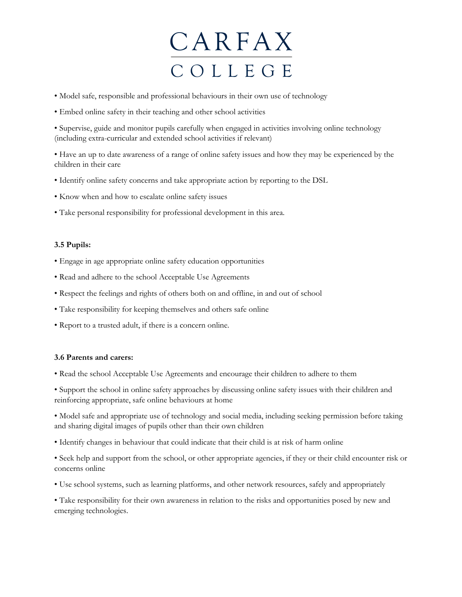- Model safe, responsible and professional behaviours in their own use of technology
- Embed online safety in their teaching and other school activities

• Supervise, guide and monitor pupils carefully when engaged in activities involving online technology (including extra-curricular and extended school activities if relevant)

• Have an up to date awareness of a range of online safety issues and how they may be experienced by the children in their care

- Identify online safety concerns and take appropriate action by reporting to the DSL
- Know when and how to escalate online safety issues
- Take personal responsibility for professional development in this area.

#### **3.5 Pupils:**

- Engage in age appropriate online safety education opportunities
- Read and adhere to the school Acceptable Use Agreements
- Respect the feelings and rights of others both on and offline, in and out of school
- Take responsibility for keeping themselves and others safe online
- Report to a trusted adult, if there is a concern online.

#### **3.6 Parents and carers:**

- Read the school Acceptable Use Agreements and encourage their children to adhere to them
- Support the school in online safety approaches by discussing online safety issues with their children and reinforcing appropriate, safe online behaviours at home

• Model safe and appropriate use of technology and social media, including seeking permission before taking and sharing digital images of pupils other than their own children

- Identify changes in behaviour that could indicate that their child is at risk of harm online
- Seek help and support from the school, or other appropriate agencies, if they or their child encounter risk or concerns online
- Use school systems, such as learning platforms, and other network resources, safely and appropriately

• Take responsibility for their own awareness in relation to the risks and opportunities posed by new and emerging technologies.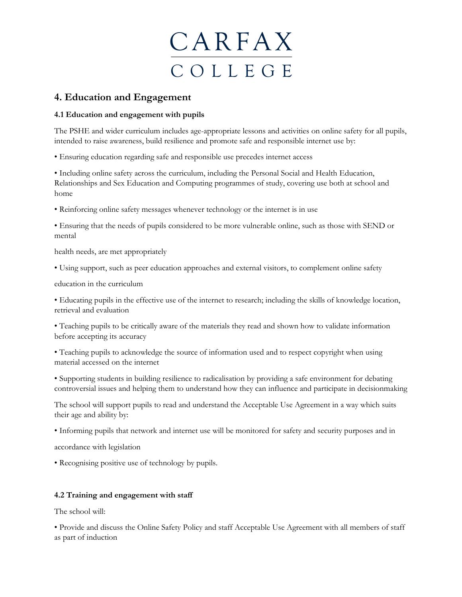

### **4. Education and Engagement**

#### **4.1 Education and engagement with pupils**

The PSHE and wider curriculum includes age-appropriate lessons and activities on online safety for all pupils, intended to raise awareness, build resilience and promote safe and responsible internet use by:

• Ensuring education regarding safe and responsible use precedes internet access

• Including online safety across the curriculum, including the Personal Social and Health Education, Relationships and Sex Education and Computing programmes of study, covering use both at school and home

• Reinforcing online safety messages whenever technology or the internet is in use

• Ensuring that the needs of pupils considered to be more vulnerable online, such as those with SEND or mental

health needs, are met appropriately

• Using support, such as peer education approaches and external visitors, to complement online safety

education in the curriculum

• Educating pupils in the effective use of the internet to research; including the skills of knowledge location, retrieval and evaluation

• Teaching pupils to be critically aware of the materials they read and shown how to validate information before accepting its accuracy

• Teaching pupils to acknowledge the source of information used and to respect copyright when using material accessed on the internet

• Supporting students in building resilience to radicalisation by providing a safe environment for debating controversial issues and helping them to understand how they can influence and participate in decisionmaking

The school will support pupils to read and understand the Acceptable Use Agreement in a way which suits their age and ability by:

• Informing pupils that network and internet use will be monitored for safety and security purposes and in

accordance with legislation

• Recognising positive use of technology by pupils.

#### **4.2 Training and engagement with staff**

The school will:

• Provide and discuss the Online Safety Policy and staff Acceptable Use Agreement with all members of staff as part of induction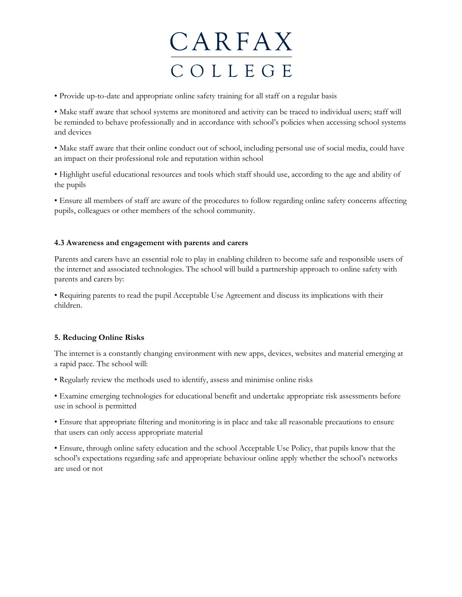• Provide up-to-date and appropriate online safety training for all staff on a regular basis

• Make staff aware that school systems are monitored and activity can be traced to individual users; staff will be reminded to behave professionally and in accordance with school's policies when accessing school systems and devices

• Make staff aware that their online conduct out of school, including personal use of social media, could have an impact on their professional role and reputation within school

• Highlight useful educational resources and tools which staff should use, according to the age and ability of the pupils

• Ensure all members of staff are aware of the procedures to follow regarding online safety concerns affecting pupils, colleagues or other members of the school community.

#### **4.3 Awareness and engagement with parents and carers**

Parents and carers have an essential role to play in enabling children to become safe and responsible users of the internet and associated technologies. The school will build a partnership approach to online safety with parents and carers by:

• Requiring parents to read the pupil Acceptable Use Agreement and discuss its implications with their children.

#### **5. Reducing Online Risks**

The internet is a constantly changing environment with new apps, devices, websites and material emerging at a rapid pace. The school will:

• Regularly review the methods used to identify, assess and minimise online risks

• Examine emerging technologies for educational benefit and undertake appropriate risk assessments before use in school is permitted

• Ensure that appropriate filtering and monitoring is in place and take all reasonable precautions to ensure that users can only access appropriate material

• Ensure, through online safety education and the school Acceptable Use Policy, that pupils know that the school's expectations regarding safe and appropriate behaviour online apply whether the school's networks are used or not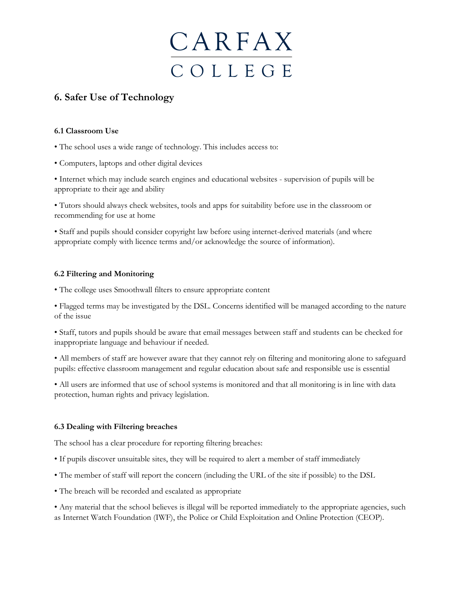

## **6. Safer Use of Technology**

#### **6.1 Classroom Use**

- The school uses a wide range of technology. This includes access to:
- Computers, laptops and other digital devices

• Internet which may include search engines and educational websites - supervision of pupils will be appropriate to their age and ability

• Tutors should always check websites, tools and apps for suitability before use in the classroom or recommending for use at home

• Staff and pupils should consider copyright law before using internet-derived materials (and where appropriate comply with licence terms and/or acknowledge the source of information).

#### **6.2 Filtering and Monitoring**

• The college uses Smoothwall filters to ensure appropriate content

• Flagged terms may be investigated by the DSL. Concerns identified will be managed according to the nature of the issue

• Staff, tutors and pupils should be aware that email messages between staff and students can be checked for inappropriate language and behaviour if needed.

• All members of staff are however aware that they cannot rely on filtering and monitoring alone to safeguard pupils: effective classroom management and regular education about safe and responsible use is essential

• All users are informed that use of school systems is monitored and that all monitoring is in line with data protection, human rights and privacy legislation.

#### **6.3 Dealing with Filtering breaches**

The school has a clear procedure for reporting filtering breaches:

- If pupils discover unsuitable sites, they will be required to alert a member of staff immediately
- The member of staff will report the concern (including the URL of the site if possible) to the DSL
- The breach will be recorded and escalated as appropriate

• Any material that the school believes is illegal will be reported immediately to the appropriate agencies, such as Internet Watch Foundation (IWF), the Police or Child Exploitation and Online Protection (CEOP).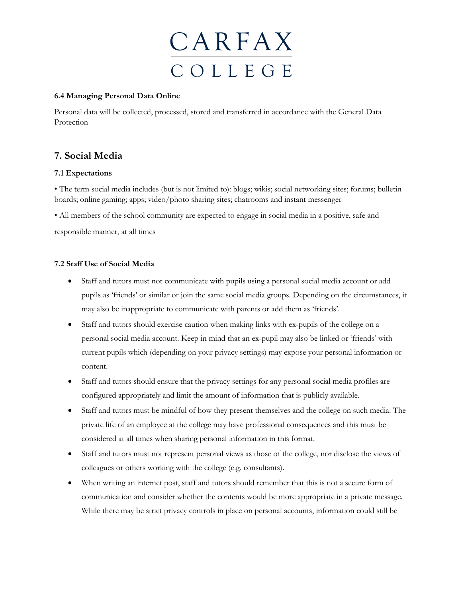

#### **6.4 Managing Personal Data Online**

Personal data will be collected, processed, stored and transferred in accordance with the General Data Protection

## **7. Social Media**

#### **7.1 Expectations**

• The term social media includes (but is not limited to): blogs; wikis; social networking sites; forums; bulletin boards; online gaming; apps; video/photo sharing sites; chatrooms and instant messenger

• All members of the school community are expected to engage in social media in a positive, safe and responsible manner, at all times

#### **7.2 Staff Use of Social Media**

- Staff and tutors must not communicate with pupils using a personal social media account or add pupils as 'friends' or similar or join the same social media groups. Depending on the circumstances, it may also be inappropriate to communicate with parents or add them as 'friends'.
- Staff and tutors should exercise caution when making links with ex-pupils of the college on a personal social media account. Keep in mind that an ex-pupil may also be linked or 'friends' with current pupils which (depending on your privacy settings) may expose your personal information or content.
- Staff and tutors should ensure that the privacy settings for any personal social media profiles are configured appropriately and limit the amount of information that is publicly available.
- Staff and tutors must be mindful of how they present themselves and the college on such media. The private life of an employee at the college may have professional consequences and this must be considered at all times when sharing personal information in this format.
- Staff and tutors must not represent personal views as those of the college, nor disclose the views of colleagues or others working with the college (e.g. consultants).
- When writing an internet post, staff and tutors should remember that this is not a secure form of communication and consider whether the contents would be more appropriate in a private message. While there may be strict privacy controls in place on personal accounts, information could still be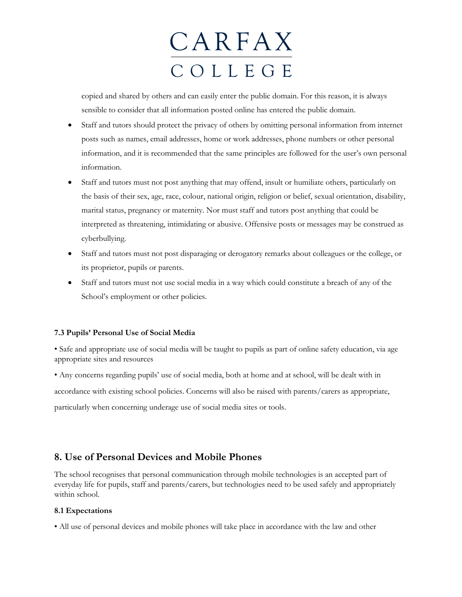copied and shared by others and can easily enter the public domain. For this reason, it is always sensible to consider that all information posted online has entered the public domain.

- Staff and tutors should protect the privacy of others by omitting personal information from internet posts such as names, email addresses, home or work addresses, phone numbers or other personal information, and it is recommended that the same principles are followed for the user's own personal information.
- Staff and tutors must not post anything that may offend, insult or humiliate others, particularly on the basis of their sex, age, race, colour, national origin, religion or belief, sexual orientation, disability, marital status, pregnancy or maternity. Nor must staff and tutors post anything that could be interpreted as threatening, intimidating or abusive. Offensive posts or messages may be construed as cyberbullying.
- Staff and tutors must not post disparaging or derogatory remarks about colleagues or the college, or its proprietor, pupils or parents.
- Staff and tutors must not use social media in a way which could constitute a breach of any of the School's employment or other policies.

#### **7.3 Pupils' Personal Use of Social Media**

• Safe and appropriate use of social media will be taught to pupils as part of online safety education, via age appropriate sites and resources

• Any concerns regarding pupils' use of social media, both at home and at school, will be dealt with in accordance with existing school policies. Concerns will also be raised with parents/carers as appropriate, particularly when concerning underage use of social media sites or tools.

### **8. Use of Personal Devices and Mobile Phones**

The school recognises that personal communication through mobile technologies is an accepted part of everyday life for pupils, staff and parents/carers, but technologies need to be used safely and appropriately within school.

#### **8.1 Expectations**

• All use of personal devices and mobile phones will take place in accordance with the law and other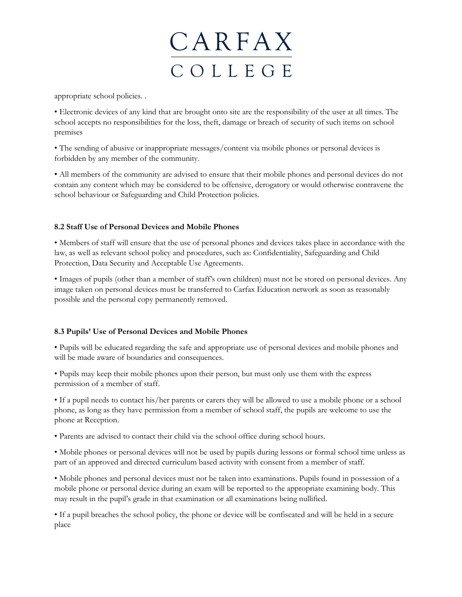

appropriate school policies. .

• Electronic devices of any kind that are brought onto site are the responsibility of the user at all times. The school accepts no responsibilities for the loss, theft, damage or breach of security of such items on school premises

• The sending of abusive or inappropriate messages/content via mobile phones or personal devices is forbidden by any member of the community.

• All members of the community are advised to ensure that their mobile phones and personal devices do not contain any content which may be considered to be offensive, derogatory or would otherwise contravene the school behaviour or Safeguarding and Child Protection policies.

#### **8.2 Staff Use of Personal Devices and Mobile Phones**

• Members of staff will ensure that the use of personal phones and devices takes place in accordance with the law, as well as relevant school policy and procedures, such as: Confidentiality, Safeguarding and Child Protection, Data Security and Acceptable Use Agreements.

• Images of pupils (other than a member of staff's own children) must not be stored on personal devices. Any image taken on personal devices must be transferred to Carfax Education network as soon as reasonably possible and the personal copy permanently removed.

#### **8.3 Pupils' Use of Personal Devices and Mobile Phones**

• Pupils will be educated regarding the safe and appropriate use of personal devices and mobile phones and will be made aware of boundaries and consequences.

• Pupils may keep their mobile phones upon their person, but must only use them with the express permission of a member of staff.

• If a pupil needs to contact his/her parents or carers they will be allowed to use a mobile phone or a school phone, as long as they have permission from a member of school staff, the pupils are welcome to use the phone at Reception.

• Parents are advised to contact their child via the school office during school hours.

• Mobile phones or personal devices will not be used by pupils during lessons or formal school time unless as part of an approved and directed curriculum based activity with consent from a member of staff.

• Mobile phones and personal devices must not be taken into examinations. Pupils found in possession of a mobile phone or personal device during an exam will be reported to the appropriate examining body. This may result in the pupil's grade in that examination or all examinations being nullified.

• If a pupil breaches the school policy, the phone or device will be confiscated and will be held in a secure place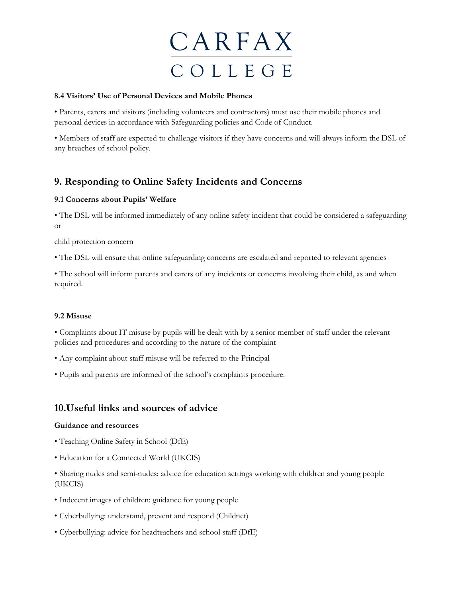

#### **8.4 Visitors' Use of Personal Devices and Mobile Phones**

• Parents, carers and visitors (including volunteers and contractors) must use their mobile phones and personal devices in accordance with Safeguarding policies and Code of Conduct.

• Members of staff are expected to challenge visitors if they have concerns and will always inform the DSL of any breaches of school policy.

## **9. Responding to Online Safety Incidents and Concerns**

#### **9.1 Concerns about Pupils' Welfare**

• The DSL will be informed immediately of any online safety incident that could be considered a safeguarding or

child protection concern

• The DSL will ensure that online safeguarding concerns are escalated and reported to relevant agencies

• The school will inform parents and carers of any incidents or concerns involving their child, as and when required.

#### **9.2 Misuse**

• Complaints about IT misuse by pupils will be dealt with by a senior member of staff under the relevant policies and procedures and according to the nature of the complaint

- Any complaint about staff misuse will be referred to the Principal
- Pupils and parents are informed of the school's complaints procedure.

### **10.Useful links and sources of advice**

#### **Guidance and resources**

- Teaching Online Safety in School (DfE)
- Education for a Connected World (UKCIS)

• Sharing nudes and semi-nudes: advice for education settings working with children and young people (UKCIS)

- Indecent images of children: guidance for young people
- Cyberbullying: understand, prevent and respond (Childnet)
- Cyberbullying: advice for headteachers and school staff (DfE)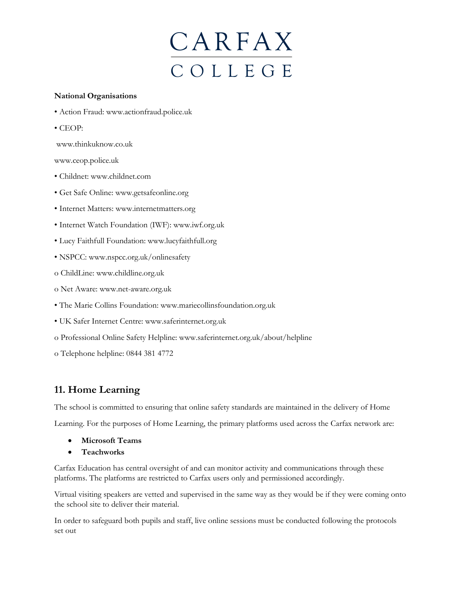#### **National Organisations**

- Action Fraud: www.actionfraud.police.uk
- CEOP:

www.thinkuknow.co.uk

www.ceop.police.uk

- Childnet: www.childnet.com
- Get Safe Online: www.getsafeonline.org
- Internet Matters: www.internetmatters.org
- Internet Watch Foundation (IWF): www.iwf.org.uk
- Lucy Faithfull Foundation: www.lucyfaithfull.org
- NSPCC: www.nspcc.org.uk/onlinesafety
- o ChildLine: www.childline.org.uk
- o Net Aware: www.net-aware.org.uk
- The Marie Collins Foundation: www.mariecollinsfoundation.org.uk
- UK Safer Internet Centre: www.saferinternet.org.uk
- o Professional Online Safety Helpline: www.saferinternet.org.uk/about/helpline
- o Telephone helpline: 0844 381 4772

## **11. Home Learning**

The school is committed to ensuring that online safety standards are maintained in the delivery of Home

Learning. For the purposes of Home Learning, the primary platforms used across the Carfax network are:

- **Microsoft Teams**
- **Teachworks**

Carfax Education has central oversight of and can monitor activity and communications through these platforms. The platforms are restricted to Carfax users only and permissioned accordingly.

Virtual visiting speakers are vetted and supervised in the same way as they would be if they were coming onto the school site to deliver their material.

In order to safeguard both pupils and staff, live online sessions must be conducted following the protocols set out